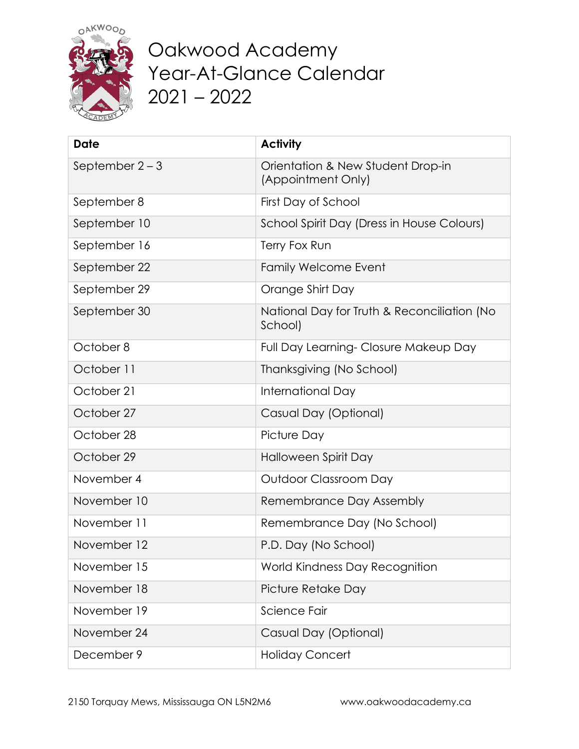

Oakwood Academy Year-At-Glance Calendar 2021 – 2022

| <b>Date</b>       | <b>Activity</b>                                         |
|-------------------|---------------------------------------------------------|
| September $2 - 3$ | Orientation & New Student Drop-in<br>(Appointment Only) |
| September 8       | First Day of School                                     |
| September 10      | School Spirit Day (Dress in House Colours)              |
| September 16      | Terry Fox Run                                           |
| September 22      | Family Welcome Event                                    |
| September 29      | Orange Shirt Day                                        |
| September 30      | National Day for Truth & Reconciliation (No<br>School)  |
| October 8         | Full Day Learning-Closure Makeup Day                    |
| October 11        | Thanksgiving (No School)                                |
| October 21        | International Day                                       |
| October 27        | Casual Day (Optional)                                   |
| October 28        | Picture Day                                             |
| October 29        | Halloween Spirit Day                                    |
| November 4        | Outdoor Classroom Day                                   |
| November 10       | Remembrance Day Assembly                                |
| November 11       | Remembrance Day (No School)                             |
| November 12       | P.D. Day (No School)                                    |
| November 15       | World Kindness Day Recognition                          |
| November 18       | Picture Retake Day                                      |
| November 19       | Science Fair                                            |
| November 24       | Casual Day (Optional)                                   |
| December 9        | <b>Holiday Concert</b>                                  |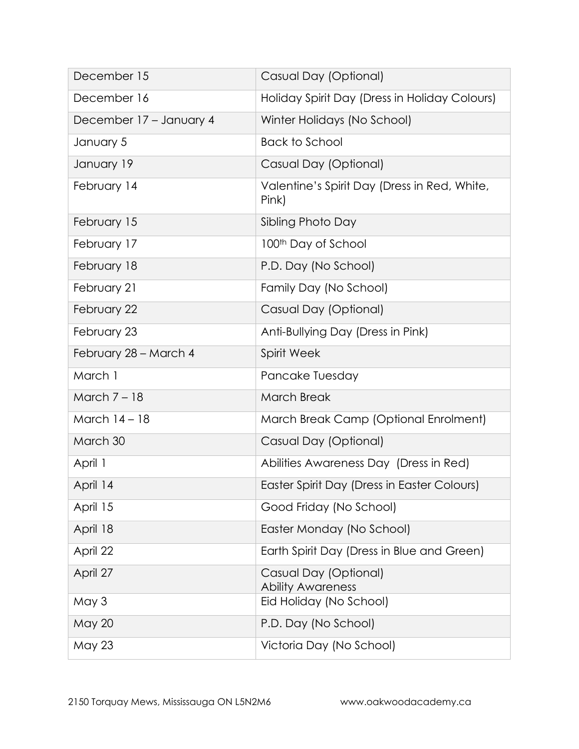| December 15             | Casual Day (Optional)                                 |
|-------------------------|-------------------------------------------------------|
| December 16             | Holiday Spirit Day (Dress in Holiday Colours)         |
| December 17 – January 4 | Winter Holidays (No School)                           |
| January 5               | <b>Back to School</b>                                 |
| January 19              | Casual Day (Optional)                                 |
| February 14             | Valentine's Spirit Day (Dress in Red, White,<br>Pink) |
| February 15             | Sibling Photo Day                                     |
| February 17             | 100 <sup>th</sup> Day of School                       |
| February 18             | P.D. Day (No School)                                  |
| February 21             | Family Day (No School)                                |
| February 22             | Casual Day (Optional)                                 |
| February 23             | Anti-Bullying Day (Dress in Pink)                     |
| February 28 - March 4   | <b>Spirit Week</b>                                    |
| March 1                 | Pancake Tuesday                                       |
| March $7 - 18$          | <b>March Break</b>                                    |
| March 14 - 18           | March Break Camp (Optional Enrolment)                 |
| March 30                | Casual Day (Optional)                                 |
| April 1                 | Abilities Awareness Day (Dress in Red)                |
| April 14                | Easter Spirit Day (Dress in Easter Colours)           |
| April 15                | Good Friday (No School)                               |
| April 18                | Easter Monday (No School)                             |
| April 22                | Earth Spirit Day (Dress in Blue and Green)            |
| April 27                | Casual Day (Optional)<br><b>Ability Awareness</b>     |
| May 3                   | Eid Holiday (No School)                               |
| <b>May 20</b>           | P.D. Day (No School)                                  |
| <b>May 23</b>           | Victoria Day (No School)                              |